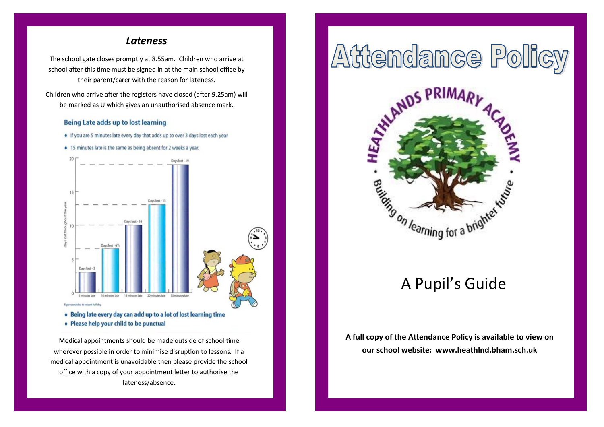#### *Lateness*

The school gate closes promptly at 8.55am. Children who arrive at school after this time must be signed in at the main school office by their parent/carer with the reason for lateness.

Children who arrive after the registers have closed (after 9.25am) will be marked as U which gives an unauthorised absence mark.

#### **Being Late adds up to lost learning**

- . If you are 5 minutes late every day that adds up to over 3 days lost each year
- . 15 minutes late is the same as being absent for 2 weeks a year.



. Being late every day can add up to a lot of lost learning time • Please help your child to be punctual

Medical appointments should be made outside of school time wherever possible in order to minimise disruption to lessons. If a medical appointment is unavoidable then please provide the school office with a copy of your appointment letter to authorise the lateness/absence.

# Attendance Policy



## A Pupil's Guide

**A full copy of the Attendance Policy is available to view on our school website: www.heathlnd.bham.sch.uk**